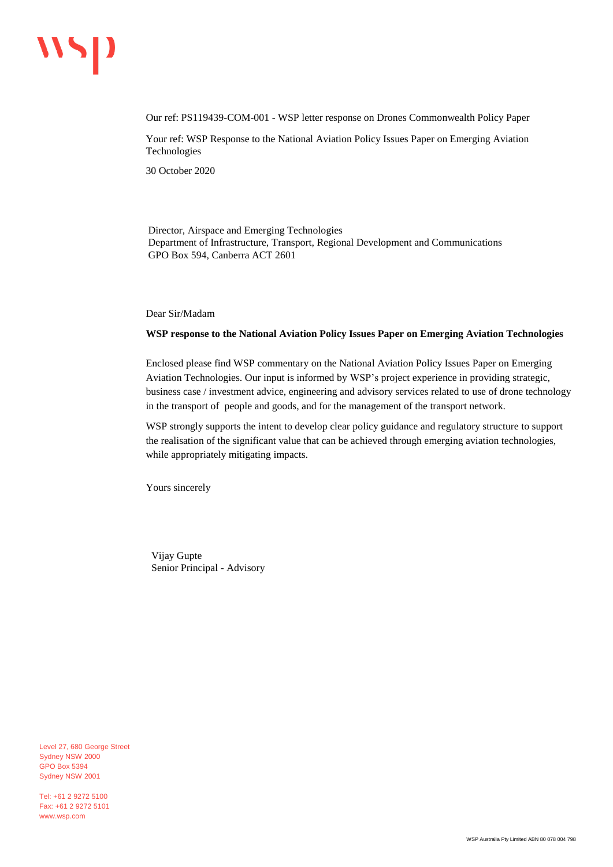# wsp

Our ref: PS119439-COM-001 - WSP letter response on Drones Commonwealth Policy Paper

Your ref: WSP Response to the National Aviation Policy Issues Paper on Emerging Aviation Technologies

30 October 2020

Director, Airspace and Emerging Technologies Department of Infrastructure, Transport, Regional Development and Communications GPO Box 594, Canberra ACT 2601

Dear Sir/Madam

#### **WSP response to the National Aviation Policy Issues Paper on Emerging Aviation Technologies**

Enclosed please find WSP commentary on the National Aviation Policy Issues Paper on Emerging Aviation Technologies. Our input is informed by WSP's project experience in providing strategic, business case / investment advice, engineering and advisory services related to use of drone technology in the transport of people and goods, and for the management of the transport network.

WSP strongly supports the intent to develop clear policy guidance and regulatory structure to support the realisation of the significant value that can be achieved through emerging aviation technologies, while appropriately mitigating impacts.

Yours sincerely

Vijay Gupte Senior Principal - Advisory

Level 27, 680 George Street Sydney NSW 2000 GPO Box 5394 Sydney NSW 2001

Tel: +61 2 9272 5100 Fax: +61 2 9272 5101 www.wsp.com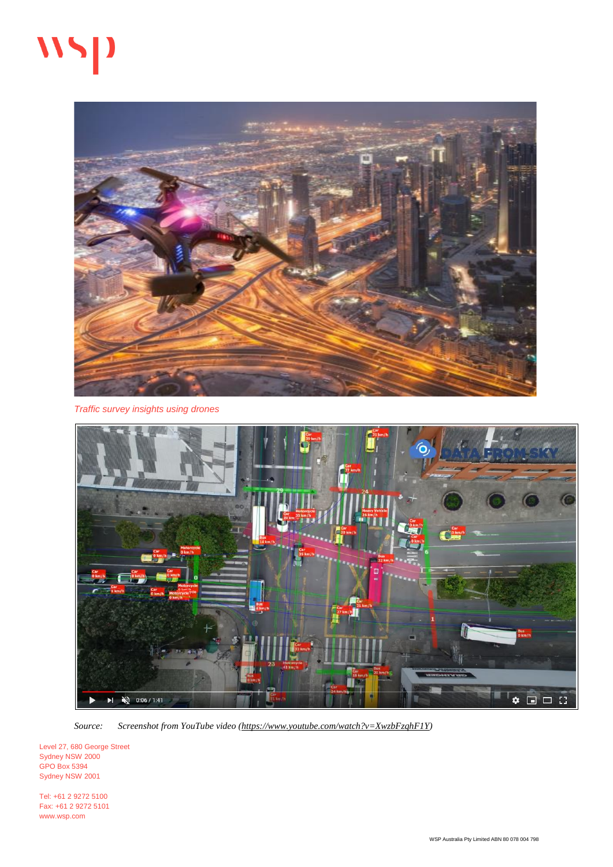# $\mathbf{W}$



*Traffic survey insights using drones*



*Source: Screenshot from YouTube video [\(https://www.youtube.com/watch?v=XwzbFzqhF1Y\)](https://www.youtube.com/watch?v=XwzbFzqhF1Y)*

Level 27, 680 George Street Sydney NSW 2000 GPO Box 5394 Sydney NSW 2001

Tel: +61 2 9272 5100 Fax: +61 2 9272 5101 www.wsp.com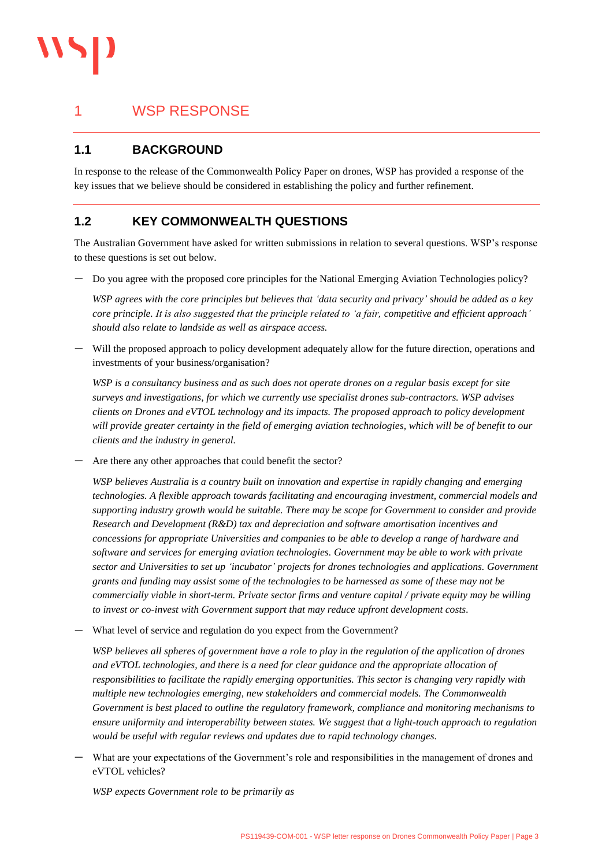

### 1 WSP RESPONSE

#### **1.1 BACKGROUND**

In response to the release of the Commonwealth Policy Paper on drones, WSP has provided a response of the key issues that we believe should be considered in establishing the policy and further refinement.

#### **1.2 KEY COMMONWEALTH QUESTIONS**

The Australian Government have asked for written submissions in relation to several questions. WSP's response to these questions is set out below.

— Do you agree with the proposed core principles for the National Emerging Aviation Technologies policy?

*WSP agrees with the core principles but believes that 'data security and privacy' should be added as a key core principle. It is also suggested that the principle related to 'a fair, competitive and efficient approach' should also relate to landside as well as airspace access.*

— Will the proposed approach to policy development adequately allow for the future direction, operations and investments of your business/organisation?

*WSP is a consultancy business and as such does not operate drones on a regular basis except for site surveys and investigations, for which we currently use specialist drones sub-contractors. WSP advises clients on Drones and eVTOL technology and its impacts. The proposed approach to policy development will provide greater certainty in the field of emerging aviation technologies, which will be of benefit to our clients and the industry in general.*

— Are there any other approaches that could benefit the sector?

*WSP believes Australia is a country built on innovation and expertise in rapidly changing and emerging technologies. A flexible approach towards facilitating and encouraging investment, commercial models and supporting industry growth would be suitable. There may be scope for Government to consider and provide Research and Development (R&D) tax and depreciation and software amortisation incentives and concessions for appropriate Universities and companies to be able to develop a range of hardware and software and services for emerging aviation technologies. Government may be able to work with private sector and Universities to set up 'incubator' projects for drones technologies and applications. Government grants and funding may assist some of the technologies to be harnessed as some of these may not be commercially viable in short-term. Private sector firms and venture capital / private equity may be willing to invest or co-invest with Government support that may reduce upfront development costs.*

— What level of service and regulation do you expect from the Government?

*WSP believes all spheres of government have a role to play in the regulation of the application of drones and eVTOL technologies, and there is a need for clear guidance and the appropriate allocation of responsibilities to facilitate the rapidly emerging opportunities. This sector is changing very rapidly with multiple new technologies emerging, new stakeholders and commercial models. The Commonwealth Government is best placed to outline the regulatory framework, compliance and monitoring mechanisms to ensure uniformity and interoperability between states. We suggest that a light-touch approach to regulation would be useful with regular reviews and updates due to rapid technology changes.* 

— What are your expectations of the Government's role and responsibilities in the management of drones and eVTOL vehicles?

*WSP expects Government role to be primarily as*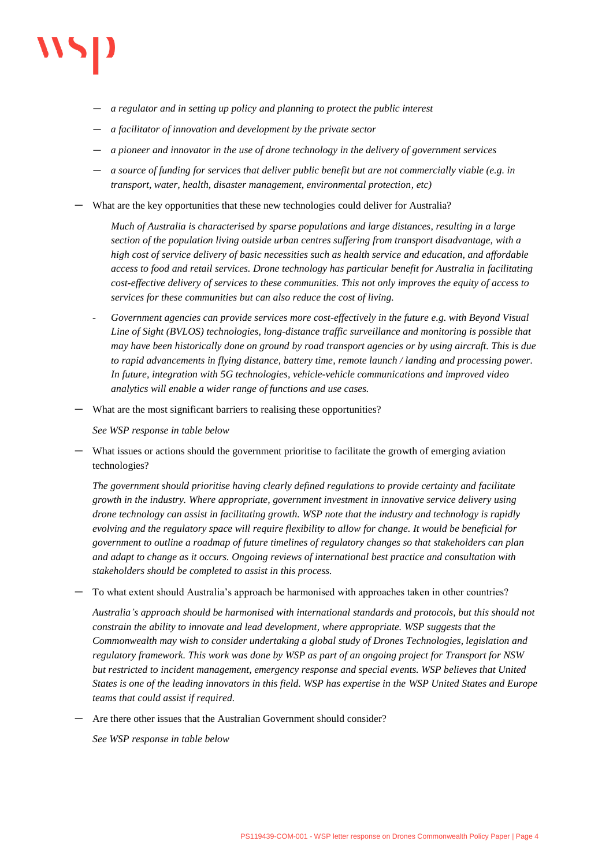

- *a regulator and in setting up policy and planning to protect the public interest*
- *a facilitator of innovation and development by the private sector*
- *a pioneer and innovator in the use of drone technology in the delivery of government services*
- *a source of funding for services that deliver public benefit but are not commercially viable (e.g. in transport, water, health, disaster management, environmental protection, etc)*
- What are the key opportunities that these new technologies could deliver for Australia?

*Much of Australia is characterised by sparse populations and large distances, resulting in a large section of the population living outside urban centres suffering from transport disadvantage, with a high cost of service delivery of basic necessities such as health service and education, and affordable access to food and retail services. Drone technology has particular benefit for Australia in facilitating cost-effective delivery of services to these communities. This not only improves the equity of access to services for these communities but can also reduce the cost of living.*

- *Government agencies can provide services more cost-effectively in the future e.g. with Beyond Visual Line of Sight (BVLOS) technologies, long-distance traffic surveillance and monitoring is possible that may have been historically done on ground by road transport agencies or by using aircraft. This is due to rapid advancements in flying distance, battery time, remote launch / landing and processing power. In future, integration with 5G technologies, vehicle-vehicle communications and improved video analytics will enable a wider range of functions and use cases.*
- What are the most significant barriers to realising these opportunities?

*See WSP response in table below* 

— What issues or actions should the government prioritise to facilitate the growth of emerging aviation technologies?

*The government should prioritise having clearly defined regulations to provide certainty and facilitate growth in the industry. Where appropriate, government investment in innovative service delivery using drone technology can assist in facilitating growth. WSP note that the industry and technology is rapidly evolving and the regulatory space will require flexibility to allow for change. It would be beneficial for government to outline a roadmap of future timelines of regulatory changes so that stakeholders can plan and adapt to change as it occurs. Ongoing reviews of international best practice and consultation with stakeholders should be completed to assist in this process.*

— To what extent should Australia's approach be harmonised with approaches taken in other countries?

*Australia's approach should be harmonised with international standards and protocols, but this should not constrain the ability to innovate and lead development, where appropriate. WSP suggests that the Commonwealth may wish to consider undertaking a global study of Drones Technologies, legislation and regulatory framework. This work was done by WSP as part of an ongoing project for Transport for NSW but restricted to incident management, emergency response and special events. WSP believes that United States is one of the leading innovators in this field. WSP has expertise in the WSP United States and Europe teams that could assist if required.* 

— Are there other issues that the Australian Government should consider?

*See WSP response in table below*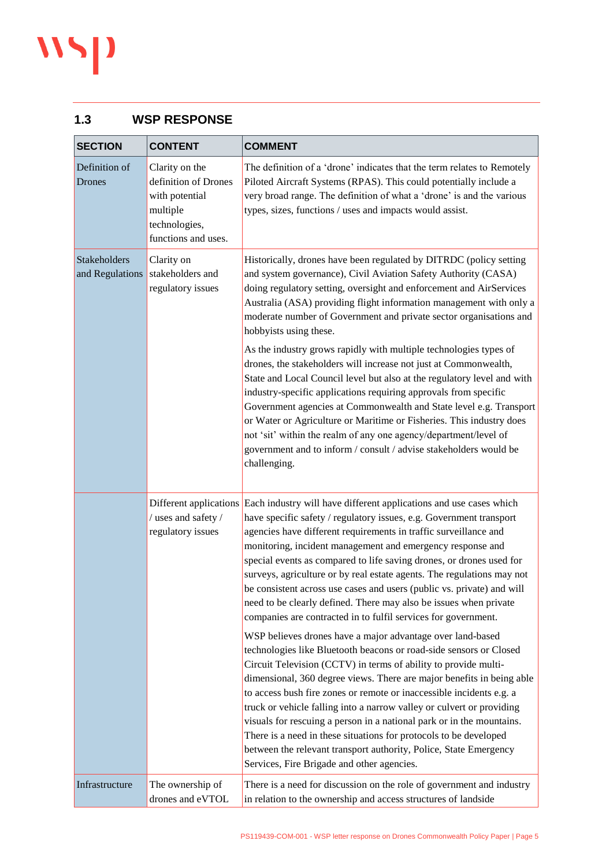## $\mathbf{W}$

#### **1.3 WSP RESPONSE**

| <b>SECTION</b>                  | <b>CONTENT</b>                                                                                               | <b>COMMENT</b>                                                                                                                                                                                                                                                                                                                                                                                                                                                                                                                                                                                                                                                                                                                                                                                                                                                                                                                                                                                                                                                                                                                                                                                                                                       |
|---------------------------------|--------------------------------------------------------------------------------------------------------------|------------------------------------------------------------------------------------------------------------------------------------------------------------------------------------------------------------------------------------------------------------------------------------------------------------------------------------------------------------------------------------------------------------------------------------------------------------------------------------------------------------------------------------------------------------------------------------------------------------------------------------------------------------------------------------------------------------------------------------------------------------------------------------------------------------------------------------------------------------------------------------------------------------------------------------------------------------------------------------------------------------------------------------------------------------------------------------------------------------------------------------------------------------------------------------------------------------------------------------------------------|
| Definition of<br><b>Drones</b>  | Clarity on the<br>definition of Drones<br>with potential<br>multiple<br>technologies,<br>functions and uses. | The definition of a 'drone' indicates that the term relates to Remotely<br>Piloted Aircraft Systems (RPAS). This could potentially include a<br>very broad range. The definition of what a 'drone' is and the various<br>types, sizes, functions / uses and impacts would assist.                                                                                                                                                                                                                                                                                                                                                                                                                                                                                                                                                                                                                                                                                                                                                                                                                                                                                                                                                                    |
| Stakeholders<br>and Regulations | Clarity on<br>stakeholders and<br>regulatory issues                                                          | Historically, drones have been regulated by DITRDC (policy setting<br>and system governance), Civil Aviation Safety Authority (CASA)<br>doing regulatory setting, oversight and enforcement and AirServices<br>Australia (ASA) providing flight information management with only a<br>moderate number of Government and private sector organisations and<br>hobbyists using these.<br>As the industry grows rapidly with multiple technologies types of                                                                                                                                                                                                                                                                                                                                                                                                                                                                                                                                                                                                                                                                                                                                                                                              |
|                                 |                                                                                                              | drones, the stakeholders will increase not just at Commonwealth,<br>State and Local Council level but also at the regulatory level and with<br>industry-specific applications requiring approvals from specific<br>Government agencies at Commonwealth and State level e.g. Transport<br>or Water or Agriculture or Maritime or Fisheries. This industry does<br>not 'sit' within the realm of any one agency/department/level of<br>government and to inform / consult / advise stakeholders would be<br>challenging.                                                                                                                                                                                                                                                                                                                                                                                                                                                                                                                                                                                                                                                                                                                               |
|                                 | / uses and safety /<br>regulatory issues                                                                     | Different applications Each industry will have different applications and use cases which<br>have specific safety / regulatory issues, e.g. Government transport<br>agencies have different requirements in traffic surveillance and<br>monitoring, incident management and emergency response and<br>special events as compared to life saving drones, or drones used for<br>surveys, agriculture or by real estate agents. The regulations may not<br>be consistent across use cases and users (public vs. private) and will<br>need to be clearly defined. There may also be issues when private<br>companies are contracted in to fulfil services for government.<br>WSP believes drones have a major advantage over land-based<br>technologies like Bluetooth beacons or road-side sensors or Closed<br>Circuit Television (CCTV) in terms of ability to provide multi-<br>dimensional, 360 degree views. There are major benefits in being able<br>to access bush fire zones or remote or inaccessible incidents e.g. a<br>truck or vehicle falling into a narrow valley or culvert or providing<br>visuals for rescuing a person in a national park or in the mountains.<br>There is a need in these situations for protocols to be developed |
| Infrastructure                  | The ownership of                                                                                             | between the relevant transport authority, Police, State Emergency<br>Services, Fire Brigade and other agencies.<br>There is a need for discussion on the role of government and industry                                                                                                                                                                                                                                                                                                                                                                                                                                                                                                                                                                                                                                                                                                                                                                                                                                                                                                                                                                                                                                                             |
|                                 | drones and eVTOL                                                                                             | in relation to the ownership and access structures of landside                                                                                                                                                                                                                                                                                                                                                                                                                                                                                                                                                                                                                                                                                                                                                                                                                                                                                                                                                                                                                                                                                                                                                                                       |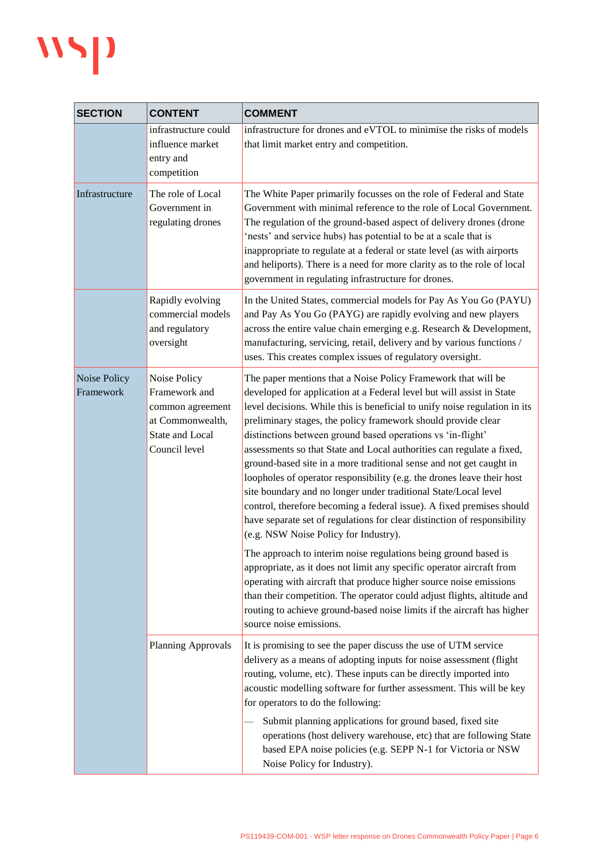## WSP

| <b>SECTION</b>            | <b>CONTENT</b>                                                                                            | <b>COMMENT</b>                                                                                                                                                                                                                                                                                                                                                                                                                                                                                                                                                                                                                                                                                                                                                                                                                                  |
|---------------------------|-----------------------------------------------------------------------------------------------------------|-------------------------------------------------------------------------------------------------------------------------------------------------------------------------------------------------------------------------------------------------------------------------------------------------------------------------------------------------------------------------------------------------------------------------------------------------------------------------------------------------------------------------------------------------------------------------------------------------------------------------------------------------------------------------------------------------------------------------------------------------------------------------------------------------------------------------------------------------|
|                           | infrastructure could<br>influence market<br>entry and<br>competition                                      | infrastructure for drones and eVTOL to minimise the risks of models<br>that limit market entry and competition.                                                                                                                                                                                                                                                                                                                                                                                                                                                                                                                                                                                                                                                                                                                                 |
| Infrastructure            | The role of Local<br>Government in<br>regulating drones                                                   | The White Paper primarily focusses on the role of Federal and State<br>Government with minimal reference to the role of Local Government.<br>The regulation of the ground-based aspect of delivery drones (drone<br>'nests' and service hubs) has potential to be at a scale that is<br>inappropriate to regulate at a federal or state level (as with airports<br>and heliports). There is a need for more clarity as to the role of local<br>government in regulating infrastructure for drones.                                                                                                                                                                                                                                                                                                                                              |
|                           | Rapidly evolving<br>commercial models<br>and regulatory<br>oversight                                      | In the United States, commercial models for Pay As You Go (PAYU)<br>and Pay As You Go (PAYG) are rapidly evolving and new players<br>across the entire value chain emerging e.g. Research & Development,<br>manufacturing, servicing, retail, delivery and by various functions /<br>uses. This creates complex issues of regulatory oversight.                                                                                                                                                                                                                                                                                                                                                                                                                                                                                                 |
| Noise Policy<br>Framework | Noise Policy<br>Framework and<br>common agreement<br>at Commonwealth,<br>State and Local<br>Council level | The paper mentions that a Noise Policy Framework that will be<br>developed for application at a Federal level but will assist in State<br>level decisions. While this is beneficial to unify noise regulation in its<br>preliminary stages, the policy framework should provide clear<br>distinctions between ground based operations vs 'in-flight'<br>assessments so that State and Local authorities can regulate a fixed,<br>ground-based site in a more traditional sense and not get caught in<br>loopholes of operator responsibility (e.g. the drones leave their host<br>site boundary and no longer under traditional State/Local level<br>control, therefore becoming a federal issue). A fixed premises should<br>have separate set of regulations for clear distinction of responsibility<br>(e.g. NSW Noise Policy for Industry). |
|                           |                                                                                                           | The approach to interim noise regulations being ground based is<br>appropriate, as it does not limit any specific operator aircraft from<br>operating with aircraft that produce higher source noise emissions<br>than their competition. The operator could adjust flights, altitude and<br>routing to achieve ground-based noise limits if the aircraft has higher<br>source noise emissions.                                                                                                                                                                                                                                                                                                                                                                                                                                                 |
|                           | Planning Approvals                                                                                        | It is promising to see the paper discuss the use of UTM service<br>delivery as a means of adopting inputs for noise assessment (flight<br>routing, volume, etc). These inputs can be directly imported into<br>acoustic modelling software for further assessment. This will be key<br>for operators to do the following:                                                                                                                                                                                                                                                                                                                                                                                                                                                                                                                       |
|                           |                                                                                                           | Submit planning applications for ground based, fixed site<br>operations (host delivery warehouse, etc) that are following State<br>based EPA noise policies (e.g. SEPP N-1 for Victoria or NSW<br>Noise Policy for Industry).                                                                                                                                                                                                                                                                                                                                                                                                                                                                                                                                                                                                                   |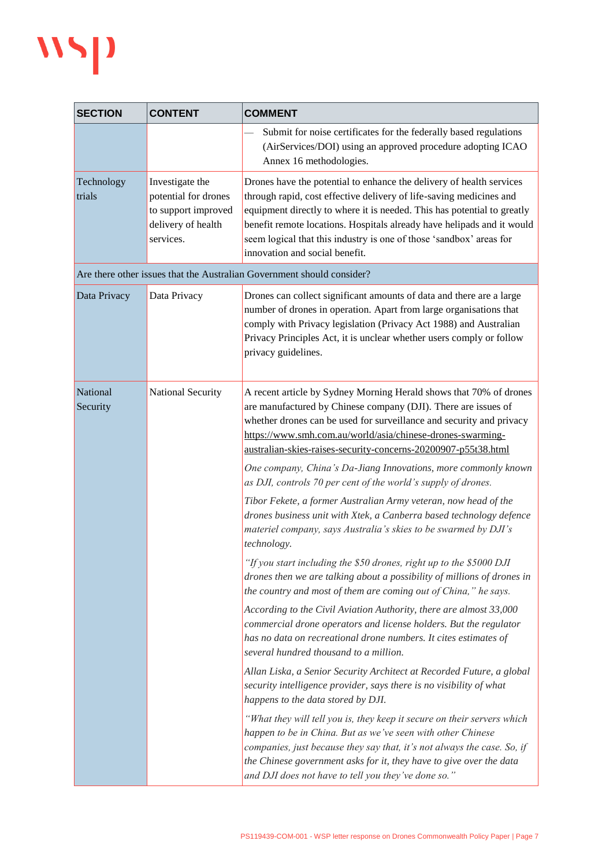

| <b>SECTION</b>       | <b>CONTENT</b>                                                                                    | <b>COMMENT</b>                                                                                                                                                                                                                                                                                                                                                                                                                                                                                                                                                                                                                                                                                                                                                                                                                                                                                                                                                                                                                                                                                                                                                                                                                                                                                                                                                                                                                                                                                                            |
|----------------------|---------------------------------------------------------------------------------------------------|---------------------------------------------------------------------------------------------------------------------------------------------------------------------------------------------------------------------------------------------------------------------------------------------------------------------------------------------------------------------------------------------------------------------------------------------------------------------------------------------------------------------------------------------------------------------------------------------------------------------------------------------------------------------------------------------------------------------------------------------------------------------------------------------------------------------------------------------------------------------------------------------------------------------------------------------------------------------------------------------------------------------------------------------------------------------------------------------------------------------------------------------------------------------------------------------------------------------------------------------------------------------------------------------------------------------------------------------------------------------------------------------------------------------------------------------------------------------------------------------------------------------------|
|                      |                                                                                                   | Submit for noise certificates for the federally based regulations<br>(AirServices/DOI) using an approved procedure adopting ICAO<br>Annex 16 methodologies.                                                                                                                                                                                                                                                                                                                                                                                                                                                                                                                                                                                                                                                                                                                                                                                                                                                                                                                                                                                                                                                                                                                                                                                                                                                                                                                                                               |
| Technology<br>trials | Investigate the<br>potential for drones<br>to support improved<br>delivery of health<br>services. | Drones have the potential to enhance the delivery of health services<br>through rapid, cost effective delivery of life-saving medicines and<br>equipment directly to where it is needed. This has potential to greatly<br>benefit remote locations. Hospitals already have helipads and it would<br>seem logical that this industry is one of those 'sandbox' areas for<br>innovation and social benefit.                                                                                                                                                                                                                                                                                                                                                                                                                                                                                                                                                                                                                                                                                                                                                                                                                                                                                                                                                                                                                                                                                                                 |
|                      |                                                                                                   | Are there other issues that the Australian Government should consider?                                                                                                                                                                                                                                                                                                                                                                                                                                                                                                                                                                                                                                                                                                                                                                                                                                                                                                                                                                                                                                                                                                                                                                                                                                                                                                                                                                                                                                                    |
| Data Privacy         | Data Privacy                                                                                      | Drones can collect significant amounts of data and there are a large<br>number of drones in operation. Apart from large organisations that<br>comply with Privacy legislation (Privacy Act 1988) and Australian<br>Privacy Principles Act, it is unclear whether users comply or follow<br>privacy guidelines.                                                                                                                                                                                                                                                                                                                                                                                                                                                                                                                                                                                                                                                                                                                                                                                                                                                                                                                                                                                                                                                                                                                                                                                                            |
| National<br>Security | National Security                                                                                 | A recent article by Sydney Morning Herald shows that 70% of drones<br>are manufactured by Chinese company (DJI). There are issues of<br>whether drones can be used for surveillance and security and privacy<br>https://www.smh.com.au/world/asia/chinese-drones-swarming-<br>australian-skies-raises-security-concerns-20200907-p55t38.html<br>One company, China's Da-Jiang Innovations, more commonly known<br>as DJI, controls 70 per cent of the world's supply of drones.<br>Tibor Fekete, a former Australian Army veteran, now head of the<br>drones business unit with Xtek, a Canberra based technology defence<br>materiel company, says Australia's skies to be swarmed by DJI's<br>technology.<br>"If you start including the \$50 drones, right up to the \$5000 DJI<br>drones then we are talking about a possibility of millions of drones in<br>the country and most of them are coming out of China," he says.<br>According to the Civil Aviation Authority, there are almost 33,000<br>commercial drone operators and license holders. But the regulator<br>has no data on recreational drone numbers. It cites estimates of<br>several hundred thousand to a million.<br>Allan Liska, a Senior Security Architect at Recorded Future, a global<br>security intelligence provider, says there is no visibility of what<br>happens to the data stored by DJI.<br>"What they will tell you is, they keep it secure on their servers which<br>happen to be in China. But as we've seen with other Chinese |
|                      |                                                                                                   | companies, just because they say that, it's not always the case. So, if<br>the Chinese government asks for it, they have to give over the data<br>and DJI does not have to tell you they've done so."                                                                                                                                                                                                                                                                                                                                                                                                                                                                                                                                                                                                                                                                                                                                                                                                                                                                                                                                                                                                                                                                                                                                                                                                                                                                                                                     |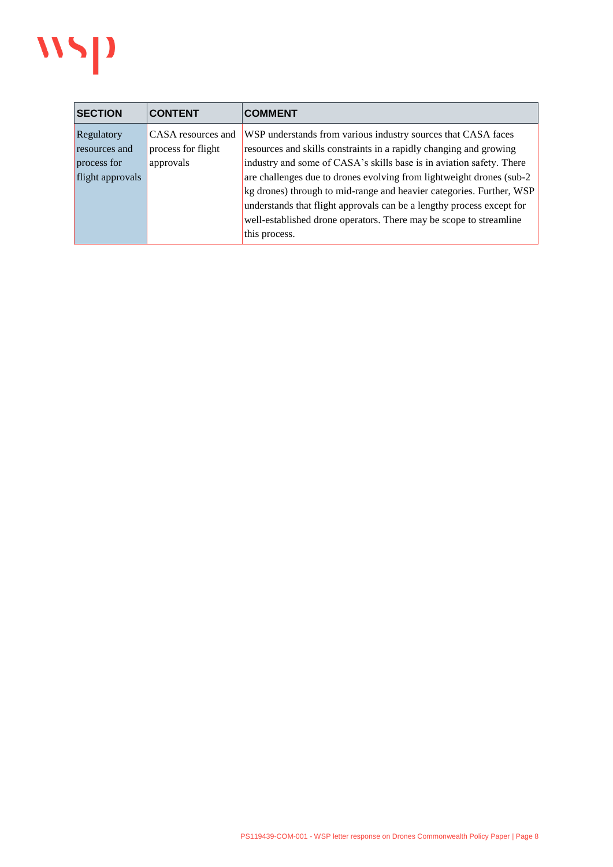

| <b>SECTION</b>                                                 | <b>CONTENT</b>                                        | <b>COMMENT</b>                                                                                                                                                                                                                                                                                                                                                                                                                                                                                                               |
|----------------------------------------------------------------|-------------------------------------------------------|------------------------------------------------------------------------------------------------------------------------------------------------------------------------------------------------------------------------------------------------------------------------------------------------------------------------------------------------------------------------------------------------------------------------------------------------------------------------------------------------------------------------------|
| Regulatory<br>resources and<br>process for<br>flight approvals | CASA resources and<br>process for flight<br>approvals | WSP understands from various industry sources that CASA faces<br>resources and skills constraints in a rapidly changing and growing<br>industry and some of CASA's skills base is in aviation safety. There<br>are challenges due to drones evolving from lightweight drones (sub-2)<br>kg drones) through to mid-range and heavier categories. Further, WSP<br>understands that flight approvals can be a lengthy process except for<br>well-established drone operators. There may be scope to streamline<br>this process. |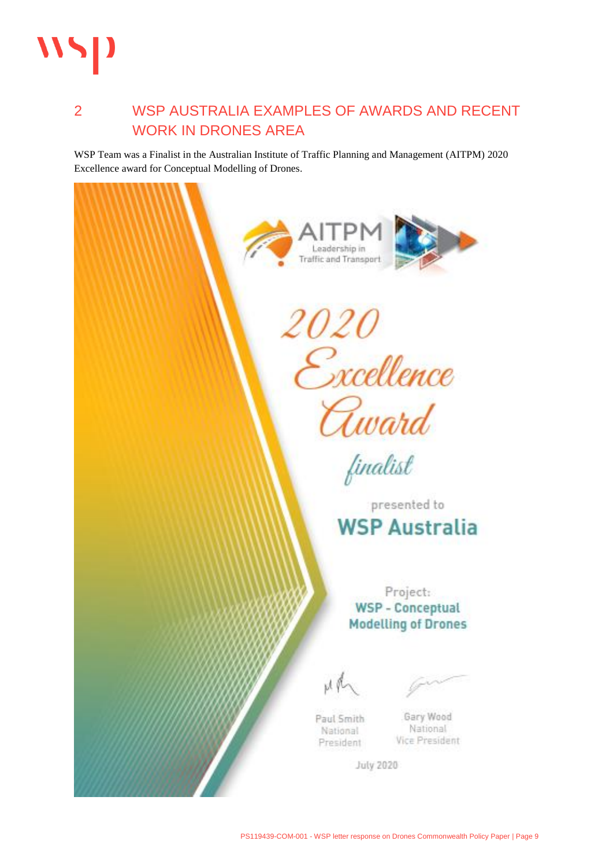

### 2 WSP AUSTRALIA EXAMPLES OF AWARDS AND RECENT WORK IN DRONES AREA

WSP Team was a Finalist in the Australian Institute of Traffic Planning and Management (AITPM) 2020 Excellence award for Conceptual Modelling of Drones.